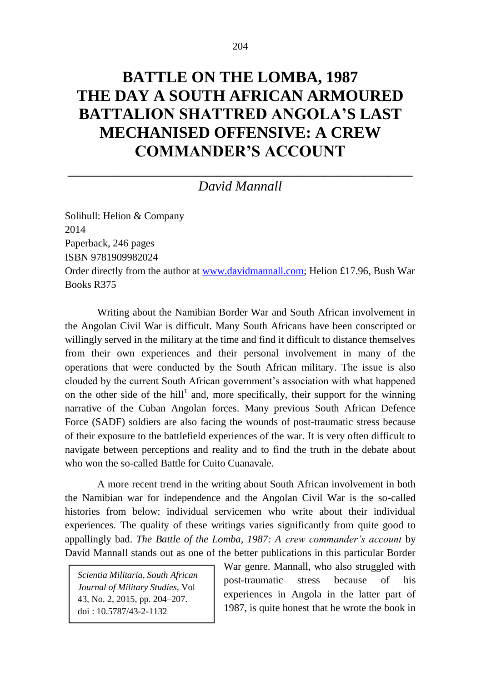## **BATTLE ON THE LOMBA, 1987 THE DAY A SOUTH AFRICAN ARMOURED BATTALION SHATTRED ANGOLA'S LAST MECHANISED OFFENSIVE: A CREW COMMANDER'S ACCOUNT**

## \_\_\_\_\_\_\_\_\_\_\_\_\_\_\_\_\_\_\_\_\_\_\_\_\_\_\_\_\_\_\_\_\_\_\_\_\_\_\_\_\_\_\_ *David Mannall*

Solihull: Helion & Company 2014 Paperback, 246 pages ISBN 9781909982024 Order directly from the author at [www.davidmannall.com;](http://www.davidmannall.com/) Helion £17.96, Bush War Books R375

Writing about the Namibian Border War and South African involvement in the Angolan Civil War is difficult. Many South Africans have been conscripted or willingly served in the military at the time and find it difficult to distance themselves from their own experiences and their personal involvement in many of the operations that were conducted by the South African military. The issue is also clouded by the current South African government's association with what happened on the other side of the hill<sup>1</sup> and, more specifically, their support for the winning narrative of the Cuban–Angolan forces. Many previous South African Defence Force (SADF) soldiers are also facing the wounds of post-traumatic stress because of their exposure to the battlefield experiences of the war. It is very often difficult to navigate between perceptions and reality and to find the truth in the debate about who won the so-called Battle for Cuito Cuanavale.

A more recent trend in the writing about South African involvement in both the Namibian war for independence and the Angolan Civil War is the so-called histories from below: individual servicemen who write about their individual experiences. The quality of these writings varies significantly from quite good to appallingly bad. *The Battle of the Lomba, 1987: A crew commander's account* by David Mannall stands out as one of the better publications in this particular Border

*Scientia Militaria, South African Journal of Military Studies,* Vol 43, No. 2, 2015, pp. 204–207. doi : 10.5787/43-2-1132

War genre. Mannall, who also struggled with post-traumatic stress because of his experiences in Angola in the latter part of 1987, is quite honest that he wrote the book in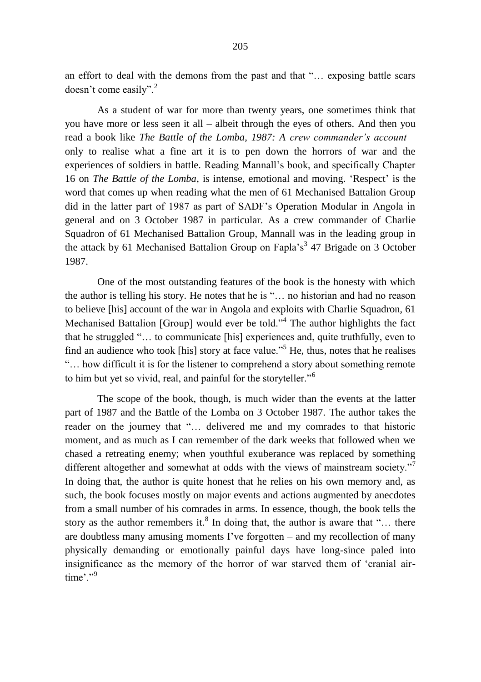an effort to deal with the demons from the past and that "… exposing battle scars doesn't come easily".<sup>2</sup>

As a student of war for more than twenty years, one sometimes think that you have more or less seen it all – albeit through the eyes of others. And then you read a book like *The Battle of the Lomba, 1987: A crew commander's account* – only to realise what a fine art it is to pen down the horrors of war and the experiences of soldiers in battle. Reading Mannall's book, and specifically Chapter 16 on *The Battle of the Lomba*, is intense, emotional and moving. 'Respect' is the word that comes up when reading what the men of 61 Mechanised Battalion Group did in the latter part of 1987 as part of SADF's Operation Modular in Angola in general and on 3 October 1987 in particular. As a crew commander of Charlie Squadron of 61 Mechanised Battalion Group, Mannall was in the leading group in the attack by 61 Mechanised Battalion Group on Fapla's<sup>3</sup> 47 Brigade on 3 October 1987.

One of the most outstanding features of the book is the honesty with which the author is telling his story. He notes that he is "… no historian and had no reason to believe [his] account of the war in Angola and exploits with Charlie Squadron, 61 Mechanised Battalion [Group] would ever be told."<sup>4</sup> The author highlights the fact that he struggled "… to communicate [his] experiences and, quite truthfully, even to find an audience who took [his] story at face value."<sup>5</sup> He, thus, notes that he realises "… how difficult it is for the listener to comprehend a story about something remote to him but yet so vivid, real, and painful for the storyteller."<sup>6</sup>

The scope of the book, though, is much wider than the events at the latter part of 1987 and the Battle of the Lomba on 3 October 1987. The author takes the reader on the journey that "… delivered me and my comrades to that historic moment, and as much as I can remember of the dark weeks that followed when we chased a retreating enemy; when youthful exuberance was replaced by something different altogether and somewhat at odds with the views of mainstream society."<sup>7</sup> In doing that, the author is quite honest that he relies on his own memory and, as such, the book focuses mostly on major events and actions augmented by anecdotes from a small number of his comrades in arms. In essence, though, the book tells the story as the author remembers it.<sup>8</sup> In doing that, the author is aware that "... there are doubtless many amusing moments I've forgotten – and my recollection of many physically demanding or emotionally painful days have long-since paled into insignificance as the memory of the horror of war starved them of 'cranial airtime'."9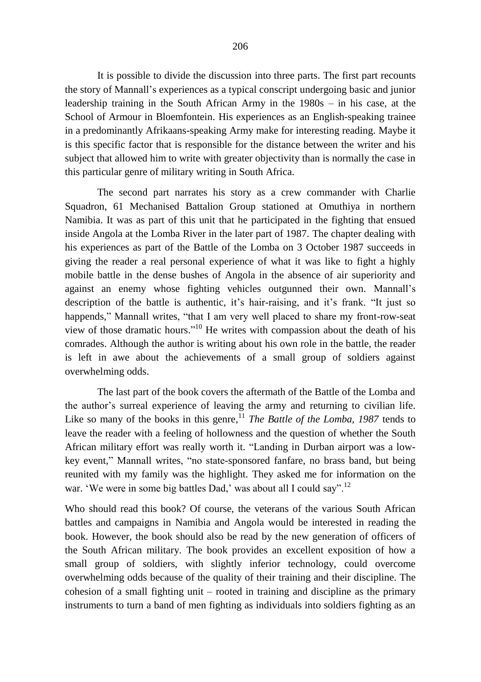It is possible to divide the discussion into three parts. The first part recounts the story of Mannall's experiences as a typical conscript undergoing basic and junior leadership training in the South African Army in the 1980s – in his case, at the School of Armour in Bloemfontein. His experiences as an English-speaking trainee in a predominantly Afrikaans-speaking Army make for interesting reading. Maybe it is this specific factor that is responsible for the distance between the writer and his subject that allowed him to write with greater objectivity than is normally the case in this particular genre of military writing in South Africa.

The second part narrates his story as a crew commander with Charlie Squadron, 61 Mechanised Battalion Group stationed at Omuthiya in northern Namibia. It was as part of this unit that he participated in the fighting that ensued inside Angola at the Lomba River in the later part of 1987. The chapter dealing with his experiences as part of the Battle of the Lomba on 3 October 1987 succeeds in giving the reader a real personal experience of what it was like to fight a highly mobile battle in the dense bushes of Angola in the absence of air superiority and against an enemy whose fighting vehicles outgunned their own. Mannall's description of the battle is authentic, it's hair-raising, and it's frank. "It just so happends," Mannall writes, "that I am very well placed to share my front-row-seat view of those dramatic hours." <sup>10</sup> He writes with compassion about the death of his comrades. Although the author is writing about his own role in the battle, the reader is left in awe about the achievements of a small group of soldiers against overwhelming odds.

The last part of the book covers the aftermath of the Battle of the Lomba and the author's surreal experience of leaving the army and returning to civilian life. Like so many of the books in this genre,<sup>11</sup> *The Battle of the Lomba, 1987* tends to leave the reader with a feeling of hollowness and the question of whether the South African military effort was really worth it. "Landing in Durban airport was a lowkey event," Mannall writes, "no state-sponsored fanfare, no brass band, but being reunited with my family was the highlight. They asked me for information on the war. 'We were in some big battles Dad,' was about all I could say".<sup>12</sup>

Who should read this book? Of course, the veterans of the various South African battles and campaigns in Namibia and Angola would be interested in reading the book. However, the book should also be read by the new generation of officers of the South African military. The book provides an excellent exposition of how a small group of soldiers, with slightly inferior technology, could overcome overwhelming odds because of the quality of their training and their discipline. The cohesion of a small fighting unit – rooted in training and discipline as the primary instruments to turn a band of men fighting as individuals into soldiers fighting as an